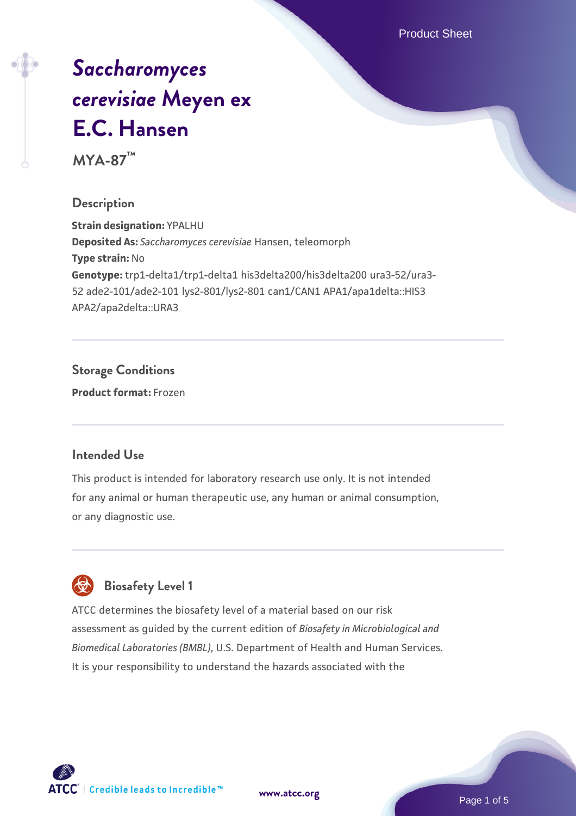Product Sheet

# *[Saccharomyces](https://www.atcc.org/products/mya-87) [cerevisiae](https://www.atcc.org/products/mya-87)* **[Meyen ex](https://www.atcc.org/products/mya-87) [E.C. Hansen](https://www.atcc.org/products/mya-87)**

**MYA-87™**

#### **Description**

**Strain designation:** YPALHU **Deposited As:** *Saccharomyces cerevisiae* Hansen, teleomorph **Type strain:** No **Genotype:** trp1-delta1/trp1-delta1 his3delta200/his3delta200 ura3-52/ura3- 52 ade2-101/ade2-101 lys2-801/lys2-801 can1/CAN1 APA1/apa1delta::HIS3 APA2/apa2delta::URA3

#### **Storage Conditions**

**Product format:** Frozen

#### **Intended Use**

This product is intended for laboratory research use only. It is not intended for any animal or human therapeutic use, any human or animal consumption, or any diagnostic use.



#### **Biosafety Level 1**

ATCC determines the biosafety level of a material based on our risk assessment as guided by the current edition of *Biosafety in Microbiological and Biomedical Laboratories (BMBL)*, U.S. Department of Health and Human Services. It is your responsibility to understand the hazards associated with the

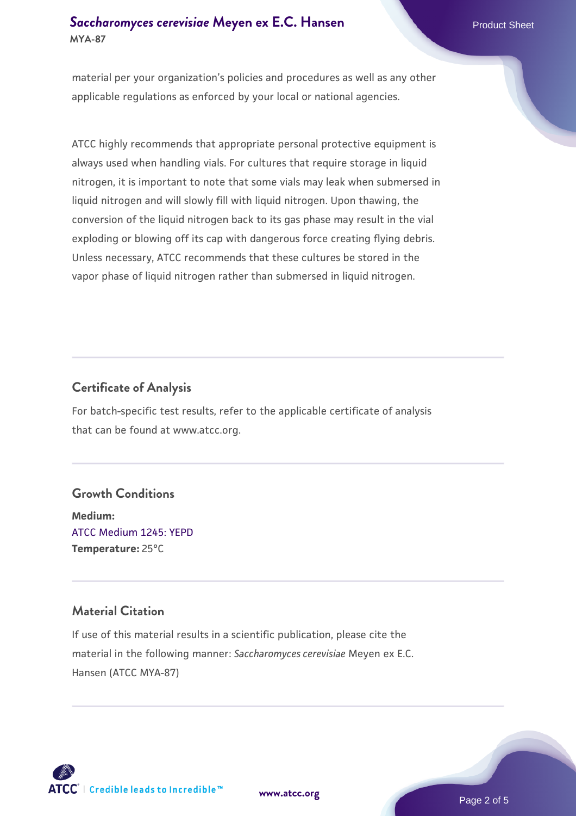#### **[Saccharomyces cerevisiae](https://www.atcc.org/products/mya-87)** [Meyen ex E.C. Hansen](https://www.atcc.org/products/mya-87) **MYA-87**

material per your organization's policies and procedures as well as any other applicable regulations as enforced by your local or national agencies.

ATCC highly recommends that appropriate personal protective equipment is always used when handling vials. For cultures that require storage in liquid nitrogen, it is important to note that some vials may leak when submersed in liquid nitrogen and will slowly fill with liquid nitrogen. Upon thawing, the conversion of the liquid nitrogen back to its gas phase may result in the vial exploding or blowing off its cap with dangerous force creating flying debris. Unless necessary, ATCC recommends that these cultures be stored in the vapor phase of liquid nitrogen rather than submersed in liquid nitrogen.

#### **Certificate of Analysis**

For batch-specific test results, refer to the applicable certificate of analysis that can be found at www.atcc.org.

#### **Growth Conditions**

**Medium:**  [ATCC Medium 1245: YEPD](https://www.atcc.org/-/media/product-assets/documents/microbial-media-formulations/1/2/4/5/atcc-medium-1245.pdf?rev=705ca55d1b6f490a808a965d5c072196) **Temperature:** 25°C

#### **Material Citation**

If use of this material results in a scientific publication, please cite the material in the following manner: *Saccharomyces cerevisiae* Meyen ex E.C. Hansen (ATCC MYA-87)



**[www.atcc.org](http://www.atcc.org)**

Page 2 of 5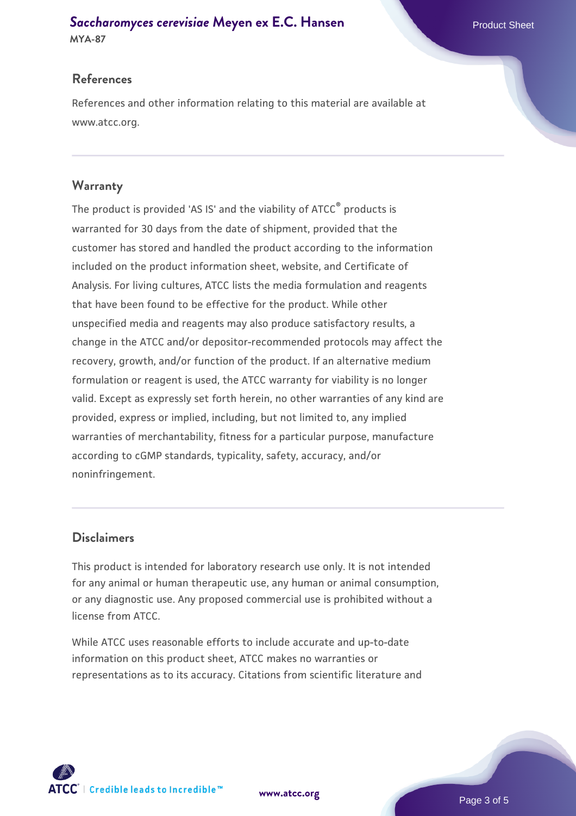## **[Saccharomyces cerevisiae](https://www.atcc.org/products/mya-87)** [Meyen ex E.C. Hansen](https://www.atcc.org/products/mya-87)

**MYA-87**

#### **References**

References and other information relating to this material are available at www.atcc.org.

#### **Warranty**

The product is provided 'AS IS' and the viability of ATCC® products is warranted for 30 days from the date of shipment, provided that the customer has stored and handled the product according to the information included on the product information sheet, website, and Certificate of Analysis. For living cultures, ATCC lists the media formulation and reagents that have been found to be effective for the product. While other unspecified media and reagents may also produce satisfactory results, a change in the ATCC and/or depositor-recommended protocols may affect the recovery, growth, and/or function of the product. If an alternative medium formulation or reagent is used, the ATCC warranty for viability is no longer valid. Except as expressly set forth herein, no other warranties of any kind are provided, express or implied, including, but not limited to, any implied warranties of merchantability, fitness for a particular purpose, manufacture according to cGMP standards, typicality, safety, accuracy, and/or noninfringement.

#### **Disclaimers**

This product is intended for laboratory research use only. It is not intended for any animal or human therapeutic use, any human or animal consumption, or any diagnostic use. Any proposed commercial use is prohibited without a license from ATCC.

While ATCC uses reasonable efforts to include accurate and up-to-date information on this product sheet, ATCC makes no warranties or representations as to its accuracy. Citations from scientific literature and

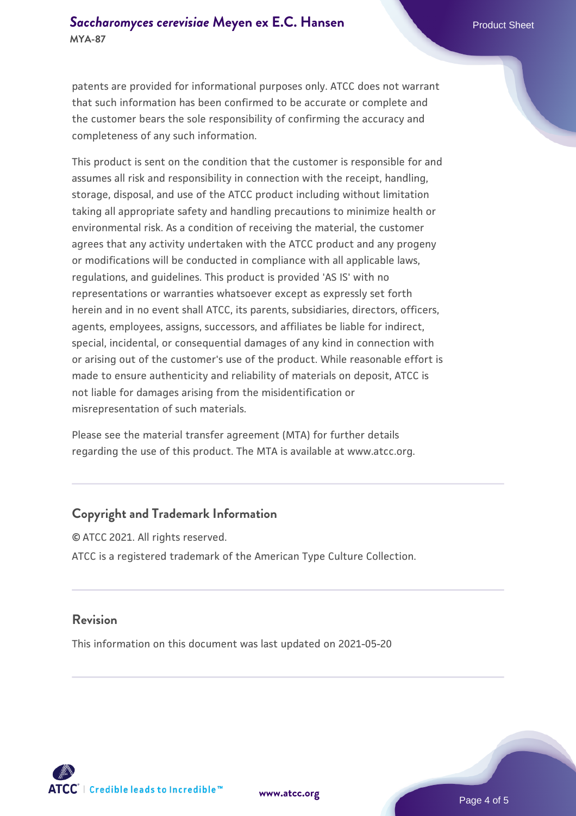#### **[Saccharomyces cerevisiae](https://www.atcc.org/products/mya-87)** [Meyen ex E.C. Hansen](https://www.atcc.org/products/mya-87) **MYA-87**

patents are provided for informational purposes only. ATCC does not warrant that such information has been confirmed to be accurate or complete and the customer bears the sole responsibility of confirming the accuracy and completeness of any such information.

This product is sent on the condition that the customer is responsible for and assumes all risk and responsibility in connection with the receipt, handling, storage, disposal, and use of the ATCC product including without limitation taking all appropriate safety and handling precautions to minimize health or environmental risk. As a condition of receiving the material, the customer agrees that any activity undertaken with the ATCC product and any progeny or modifications will be conducted in compliance with all applicable laws, regulations, and guidelines. This product is provided 'AS IS' with no representations or warranties whatsoever except as expressly set forth herein and in no event shall ATCC, its parents, subsidiaries, directors, officers, agents, employees, assigns, successors, and affiliates be liable for indirect, special, incidental, or consequential damages of any kind in connection with or arising out of the customer's use of the product. While reasonable effort is made to ensure authenticity and reliability of materials on deposit, ATCC is not liable for damages arising from the misidentification or misrepresentation of such materials.

Please see the material transfer agreement (MTA) for further details regarding the use of this product. The MTA is available at www.atcc.org.

#### **Copyright and Trademark Information**

© ATCC 2021. All rights reserved. ATCC is a registered trademark of the American Type Culture Collection.

#### **Revision**

This information on this document was last updated on 2021-05-20



**[www.atcc.org](http://www.atcc.org)**